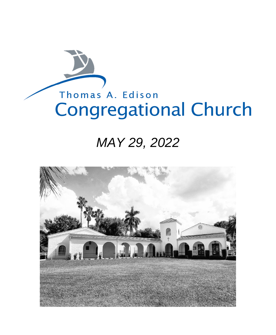# Thomas A. Edison **Congregational Church**

## *MAY 29, 2022*

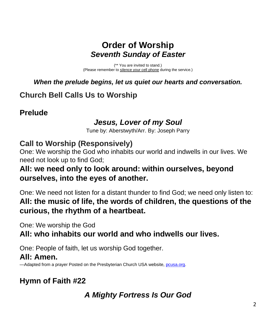### **Order of Worship** *Seventh Sunday of Easter*

(\*\* You are invited to stand.) (Please remember to silence your cell phone during the service.)

*When the prelude begins, let us quiet our hearts and conversation.*

### **Church Bell Calls Us to Worship**

### **Prelude**

### *Jesus, Lover of my Soul*

Tune by: Aberstwyth/Arr. By: Joseph Parry

### **Call to Worship (Responsively)**

One: We worship the God who inhabits our world and indwells in our lives. We need not look up to find God;

### **All: we need only to look around: within ourselves, beyond ourselves, into the eyes of another.**

One: We need not listen for a distant thunder to find God; we need only listen to: **All: the music of life, the words of children, the questions of the curious, the rhythm of a heartbeat.**

One: We worship the God

**All: who inhabits our world and who indwells our lives.**

One: People of faith, let us worship God together.

#### **All: Amen.**

—Adapted from a prayer Posted on the Presbyterian Church USA website, [pcusa.org.](http://pcusa.org/)

### **Hymn of Faith #22**

### *A Mighty Fortress Is Our God*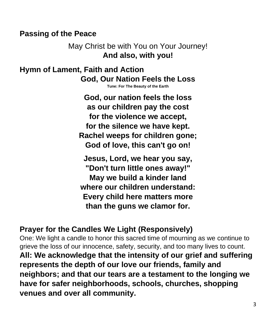### **Passing of the Peace**

May Christ be with You on Your Journey! **And also, with you!**

**Hymn of Lament, Faith and Action God, Our Nation Feels the Loss**

**Tune: For The Beauty of the Earth**

**God, our nation feels the loss as our children pay the cost for the violence we accept, for the silence we have kept. Rachel weeps for children gone; God of love, this can't go on!**

**Jesus, Lord, we hear you say, "Don't turn little ones away!" May we build a kinder land where our children understand: Every child here matters more than the guns we clamor for.**

### **Prayer for the Candles We Light (Responsively)**

One: We light a candle to honor this sacred time of mourning as we continue to grieve the loss of our innocence, safety, security, and too many lives to count. **All: We acknowledge that the intensity of our grief and suffering represents the depth of our love our friends, family and neighbors; and that our tears are a testament to the longing we have for safer neighborhoods, schools, churches, shopping venues and over all community.**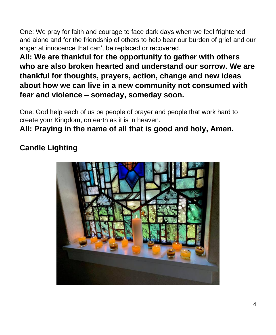One: We pray for faith and courage to face dark days when we feel frightened and alone and for the friendship of others to help bear our burden of grief and our anger at innocence that can't be replaced or recovered.

**All: We are thankful for the opportunity to gather with others who are also broken hearted and understand our sorrow. We are thankful for thoughts, prayers, action, change and new ideas about how we can live in a new community not consumed with fear and violence – someday, someday soon.** 

One: God help each of us be people of prayer and people that work hard to create your Kingdom, on earth as it is in heaven.

### **All: Praying in the name of all that is good and holy, Amen.**

### **Candle Lighting**

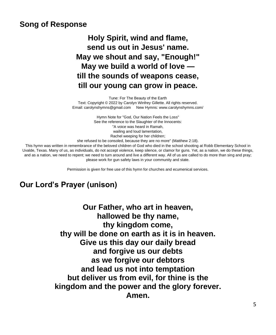#### **Song of Response**

**Holy Spirit, wind and flame, send us out in Jesus' name. May we shout and say, "Enough!" May we build a world of love till the sounds of weapons cease, till our young can grow in peace.**

Tune: For The Beauty of the Earth Text: Copyright © 2022 by Carolyn Winfrey Gillette. All rights reserved. Email: carolynshymns@gmail.com New Hymns: www.carolynshymns.com/

> Hymn Note for "God, Our Nation Feels the Loss" See the reference to the Slaughter of the Innocents: "A voice was heard in Ramah, wailing and loud lamentation, Rachel weeping for her children;

she refused to be consoled, because they are no more" (Matthew 2:18).

This hymn was written in remembrance of the beloved children of God who died in the school shooting at Robb Elementary School in Uvalde, Texas. Many of us, as individuals, do not accept violence, keep silence, or clamor for guns. Yet, as a nation, we do these things, and as a nation, we need to repent; we need to turn around and live a different way. All of us are called to do more than sing and pray; please work for gun safety laws in your community and state.

Permission is given for free use of this hymn for churches and ecumenical services.

#### **Our Lord's Prayer (unison)**

**Our Father, who art in heaven, hallowed be thy name, thy kingdom come, thy will be done on earth as it is in heaven. Give us this day our daily bread and forgive us our debts as we forgive our debtors and lead us not into temptation but deliver us from evil, for thine is the kingdom and the power and the glory forever. Amen.**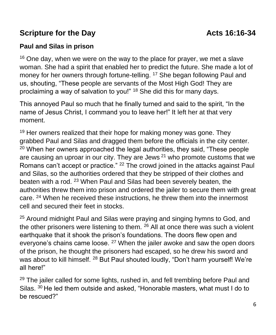### **Scripture for the Day Constrainer Scripture for the Day Constrainer Acts 16:16-34**

#### **Paul and Silas in prison**

 $16$  One day, when we were on the way to the place for prayer, we met a slave woman. She had a spirit that enabled her to predict the future. She made a lot of money for her owners through fortune-telling. <sup>17</sup> She began following Paul and us, shouting, "These people are servants of the Most High God! They are proclaiming a way of salvation to you!" <sup>18</sup> She did this for many days.

This annoyed Paul so much that he finally turned and said to the spirit, "In the name of Jesus Christ, I command you to leave her!" It left her at that very moment.

<sup>19</sup> Her owners realized that their hope for making money was gone. They grabbed Paul and Silas and dragged them before the officials in the city center.  $20$  When her owners approached the legal authorities, they said, "These people are causing an uproar in our city. They are Jews  $21$  who promote customs that we Romans can't accept or practice." <sup>22</sup> The crowd joined in the attacks against Paul and Silas, so the authorities ordered that they be stripped of their clothes and beaten with a rod. <sup>23</sup> When Paul and Silas had been severely beaten, the authorities threw them into prison and ordered the jailer to secure them with great care. <sup>24</sup> When he received these instructions, he threw them into the innermost cell and secured their feet in stocks.

<sup>25</sup> Around midnight Paul and Silas were praying and singing hymns to God, and the other prisoners were listening to them. <sup>26</sup> All at once there was such a violent earthquake that it shook the prison's foundations. The doors flew open and everyone's chains came loose. <sup>27</sup> When the jailer awoke and saw the open doors of the prison, he thought the prisoners had escaped, so he drew his sword and was about to kill himself. <sup>28</sup> But Paul shouted loudly, "Don't harm yourself! We're all here!"

 $29$  The jailer called for some lights, rushed in, and fell trembling before Paul and Silas. <sup>30</sup> He led them outside and asked, "Honorable masters, what must I do to be rescued?"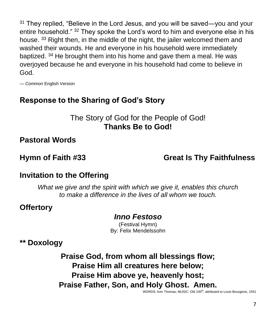$31$  They replied, "Believe in the Lord Jesus, and you will be saved—you and your entire household." <sup>32</sup> They spoke the Lord's word to him and everyone else in his house. <sup>33</sup> Right then, in the middle of the night, the jailer welcomed them and washed their wounds. He and everyone in his household were immediately baptized. <sup>34</sup> He brought them into his home and gave them a meal. He was overjoyed because he and everyone in his household had come to believe in God.

— Common English Version

### **Response to the Sharing of God's Story**

The Story of God for the People of God! **Thanks Be to God!**

**Pastoral Words**

**Hymn of Faith #33 Great Is Thy Faithfulness**

#### **Invitation to the Offering**

*What we give and the spirit with which we give it, enables this church to make a difference in the lives of all whom we touch.*

#### **Offertory**

#### *Inno Festoso*

(Festival Hymn) By: Felix Mendelssohn

**\*\* Doxology**

**Praise God, from whom all blessings flow; Praise Him all creatures here below; Praise Him above ye, heavenly host; Praise Father, Son, and Holy Ghost. Amen.**

WORDS: Ken Thomas: MUSIC: Old 100<sup>th</sup>, attributed to Louis Bourgeois, 1551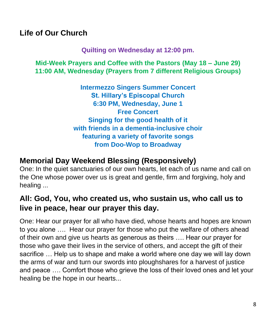### **Life of Our Church**

**Quilting on Wednesday at 12:00 pm.**

**Mid-Week Prayers and Coffee with the Pastors (May 18 – June 29) 11:00 AM, Wednesday (Prayers from 7 different Religious Groups)**

> **Intermezzo Singers Summer Concert St. Hillary's Episcopal Church 6:30 PM, Wednesday, June 1 Free Concert Singing for the good health of it with friends in a dementia-inclusive choir featuring a variety of favorite songs from Doo-Wop to Broadway**

### **Memorial Day Weekend Blessing (Responsively)**

One: In the quiet sanctuaries of our own hearts, let each of us name and call on the One whose power over us is great and gentle, firm and forgiving, holy and healing ...

### **All: God, You, who created us, who sustain us, who call us to live in peace, hear our prayer this day.**

One: Hear our prayer for all who have died, whose hearts and hopes are known to you alone …. Hear our prayer for those who put the welfare of others ahead of their own and give us hearts as generous as theirs …. Hear our prayer for those who gave their lives in the service of others, and accept the gift of their sacrifice … Help us to shape and make a world where one day we will lay down the arms of war and turn our swords into ploughshares for a harvest of justice and peace …. Comfort those who grieve the loss of their loved ones and let your healing be the hope in our hearts...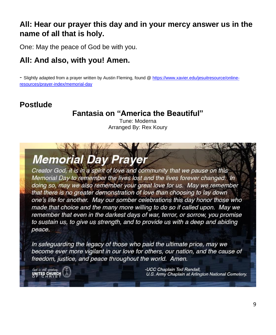### **All: Hear our prayer this day and in your mercy answer us in the name of all that is holy.**

One: May the peace of God be with you.

### **All: And also, with you! Amen.**

- Slightly adapted from a prayer written by Austin Fleming, found [@ https://www.xavier.edu/jesuitresource/online](https://www.xavier.edu/jesuitresource/online-resources/prayer-index/memorial-day)[resources/prayer-index/memorial-day](https://www.xavier.edu/jesuitresource/online-resources/prayer-index/memorial-day)

### **Postlude**

### **Fantasia on "America the Beautiful"**

Tune: Moderna Arranged By: Rex Koury

## **Memorial Day Prayer**

Creator God, it is in a spirit of love and community that we pause on this Memorial Day to remember the lives lost and the lives forever changed. In doing so, may we also remember your great love for us. May we remember that there is no greater demonstration of love than choosing to lay down one's life for another. May our somber celebrations this day honor those who made that choice and the many more willing to do so if called upon. May we remember that even in the darkest days of war, terror, or sorrow, you promise to sustain us, to give us strength, and to provide us with a deep and abiding peace.

In safeguarding the legacy of those who paid the ultimate price, may we become ever more vigilant in our love for others, our nation, and the cause of freedom, justice, and peace throughout the world. Amen.

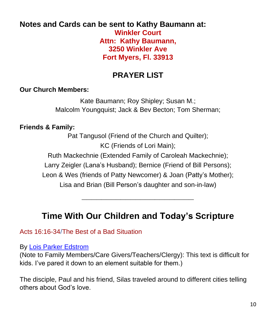#### **Notes and Cards can be sent to Kathy Baumann at: Winkler Court Attn: Kathy Baumann, 3250 Winkler Ave Fort Myers, Fl. 33913**

### **PRAYER LIST**

#### **Our Church Members:**

Kate Baumann; Roy Shipley; Susan M.; Malcolm Youngquist; Jack & Bev Becton; Tom Sherman;

#### **Friends & Family:**

Pat Tangusol (Friend of the Church and Quilter); KC (Friends of Lori Main);

Ruth Mackechnie (Extended Family of Caroleah Mackechnie);

Larry Zeigler (Lana's Husband); Bernice (Friend of Bill Persons);

Leon & Wes (friends of Patty Newcomer) & Joan (Patty's Mother);

Lisa and Brian (Bill Person's daughter and son-in-law)

**\_\_\_\_\_\_\_\_\_\_\_\_\_\_\_\_\_\_\_\_\_\_\_**

### **Time With Our Children and Today's Scripture**

#### Acts 16:16-34/The Best of a Bad Situation

#### By [Lois Parker Edstrom](https://sermonwriter.com/lois-parker-edstrom/)

(Note to Family Members/Care Givers/Teachers/Clergy): This text is difficult for kids. I've pared it down to an element suitable for them.)

The disciple, Paul and his friend, Silas traveled around to different cities telling others about God's love.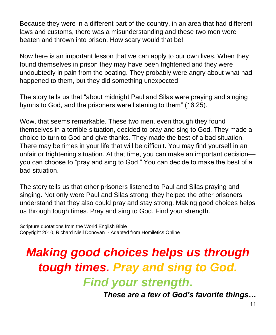Because they were in a different part of the country, in an area that had different laws and customs, there was a misunderstanding and these two men were beaten and thrown into prison. How scary would that be!

Now here is an important lesson that we can apply to our own lives. When they found themselves in prison they may have been frightened and they were undoubtedly in pain from the beating. They probably were angry about what had happened to them, but they did something unexpected.

The story tells us that "about midnight Paul and Silas were praying and singing hymns to God, and the prisoners were listening to them" (16:25).

Wow, that seems remarkable. These two men, even though they found themselves in a terrible situation, decided to pray and sing to God. They made a choice to turn to God and give thanks. They made the best of a bad situation. There may be times in your life that will be difficult. You may find yourself in an unfair or frightening situation. At that time, you can make an important decision–– you can choose to "pray and sing to God." You can decide to make the best of a bad situation.

The story tells us that other prisoners listened to Paul and Silas praying and singing. Not only were Paul and Silas strong, they helped the other prisoners understand that they also could pray and stay strong. Making good choices helps us through tough times. Pray and sing to God. Find your strength.

Scripture quotations from the World English Bible Copyright 2010, Richard Niell Donovan - Adapted from Homiletics Online

## *Making good choices helps us through tough times. Pray and sing to God.*

*Find your strength***.**

*These are a few of God's favorite things…*